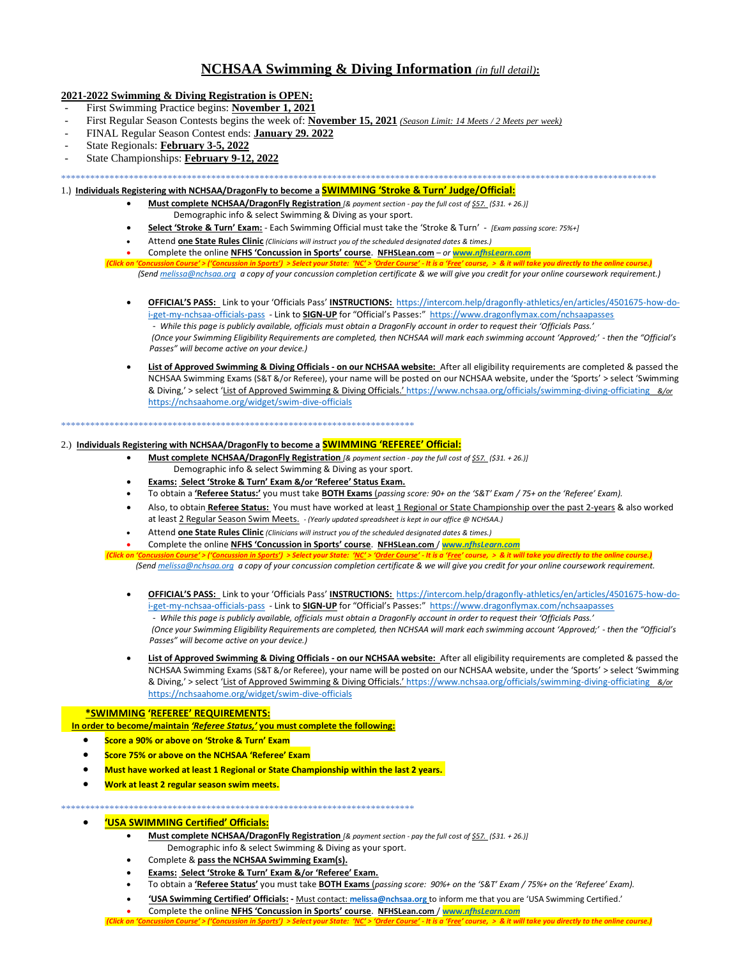# **NCHSAA Swimming & Diving Information** *(in full detail)***:**

# **2021-2022 Swimming & Diving Registration is OPEN:**

- First Swimming Practice begins: **November 1, 2021**
- First Regular Season Contests begins the week of: **November 15, 2021** *(Season Limit: 14 Meets / 2 Meets per week)*
- FINAL Regular Season Contest ends: **January 29. 2022**
- State Regionals: **February 3-5, 2022**
- State Championships: **February 9-12, 2022**

\*\*\*\*\*\*\*\*\*\*\*\*\*\*\*\*\*\*\*\*\*\*\*\*\*\*\*\*\*\*\*\*\*\*\*\*\*\*\*\*\*\*\*\*\*\*\*\*\*\*\*\*\*\*\*\*\*\*\*\*\*\*\*\*\*\*\*\*\*\*\*\*\*\*\*\*\*\*\*\*\*\*\*\*\*\*\*\*\*\*\*\*\*\*\*\*\*\*\*\*\*\*\*\*\*\*\*\*\*\*\*\*\*\*\*\*\*\*\*\*\*\*\*

# 1.) **Individuals Registering with NCHSAA/DragonFly to become a SWIMMING 'Stroke & Turn' Judge/Official:**

- **Must complete NCHSAA/DragonFly Registration** *[& payment section - pay the full cost of \$57. (\$31. + 26.)]* Demographic info & select Swimming & Diving as your sport.
- **Select 'Stroke & Turn' Exam:** Each Swimming Official must take the 'Stroke & Turn' *[Exam passing score: 75%+]*
- Attend **one State Rules Clinic** *(Clinicians will instruct you of the scheduled designated dates & times.)*
- Complete the online **NFHS 'Concussion in Sports' course**. **NFHSLean.com** *– or* **www.***[nfhsLearn.com](http://www.nfhslearn.com/)*

orts') > Select vour State: 'NC' > 'Order Course' - It is a 'Free' course. > & it i  *(Sen[d melissa@nchsaa.org](mailto:melissa@nchsaa.org) a copy of your concussion completion certificate & we will give you credit for your online coursework requirement.)*

- **OFFICIAL'S PASS:** Link to your 'Officials Pass' **INSTRUCTIONS:** [https://intercom.help/dragonfly-athletics/en/articles/4501675-how-do](https://intercom.help/dragonfly-athletics/en/articles/4501675-how-do-i-get-my-nchsaa-officials-pass)[i-get-my-nchsaa-officials-pass](https://intercom.help/dragonfly-athletics/en/articles/4501675-how-do-i-get-my-nchsaa-officials-pass) - Link to **SIGN-UP** for "Official's Passes:" <https://www.dragonflymax.com/nchsaapasses> - *While this page is publicly available, officials must obtain a DragonFly account in order to request their 'Officials Pass.' (Once your Swimming Eligibility Requirements are completed, then NCHSAA will mark each swimming account 'Approved;' - then the "Official's Passes" will become active on your device.)*
- **List of Approved Swimming & Diving Officials - on our NCHSAA website:** After all eligibility requirements are completed & passed the NCHSAA Swimming Exams (S&T &/or Referee), your name will be posted on our NCHSAA website, under the 'Sports' > select 'Swimming & Diving,' > select 'List of Approved Swimming & Diving Officials.' <https://www.nchsaa.org/officials/swimming-diving-officiating> *&/or*  <https://nchsaahome.org/widget/swim-dive-officials>

#### \*\*\*\*\*\*\*\*\*\*\*\*\*\*\*\*\*\*\*\*\*\*\*\*\*\*\*\*\*\*\*\*\*\*\*\*\*\*\*\*\*\*\*\*\*\*\*\*\*\*\*\*\*\*\*\*\*\*\*\*\*\*\*\*\*\*\*\*\*\*\*\*\*

# 2.) **Individuals Registering with NCHSAA/DragonFly to become a SWIMMING 'REFEREE' Official:**

- **Must complete NCHSAA/DragonFly Registration** *[& payment section - pay the full cost of \$57. (\$31. + 26.)]* Demographic info & select Swimming & Diving as your sport.
- **Exams: Select 'Stroke & Turn' Exam &/or 'Referee' Status Exam.**
- To obtain a **'Referee Status:'** you must take **BOTH Exams** (*passing score: 90+ on the 'S&T' Exam / 75+ on the 'Referee' Exam).*
- Also, to obtain **Referee Status:** You must have worked at least 1 Regional or State Championship over the past 2-years & also worked at least 2 Regular Season Swim Meets. *- (Yearly updated spreadsheet is kept in our office @ NCHSAA.)*
- Attend **one State Rules Clinic** *(Clinicians will instruct you of the scheduled designated dates & times.)*
- Complete the online **NFHS 'Concussion in Sports' course**. **NFHSLean.com** / **www.***[nfhsLearn.com](http://www.nfhslearn.com/)*

(Click on '<u>Concussion Course'</u> > ('<u>Concussion in Sports'</u>) > Select your State: *'<u>NC'</u> > '<u>Order Course'</u> - It is a 'Free' course, > & it will take you directly to the online course.)* 

 *(Sen[d melissa@nchsaa.org](mailto:melissa@nchsaa.org) a copy of your concussion completion certificate & we will give you credit for your online coursework requirement.*

- **OFFICIAL'S PASS:** Link to your 'Officials Pass' **INSTRUCTIONS:** [https://intercom.help/dragonfly-athletics/en/articles/4501675-how-do](https://intercom.help/dragonfly-athletics/en/articles/4501675-how-do-i-get-my-nchsaa-officials-pass)[i-get-my-nchsaa-officials-pass](https://intercom.help/dragonfly-athletics/en/articles/4501675-how-do-i-get-my-nchsaa-officials-pass) - Link to **SIGN-UP** for "Official's Passes:" <https://www.dragonflymax.com/nchsaapasses> - *While this page is publicly available, officials must obtain a DragonFly account in order to request their 'Officials Pass.' (Once your Swimming Eligibility Requirements are completed, then NCHSAA will mark each swimming account 'Approved;' - then the "Official's Passes" will become active on your device.)*
- **List of Approved Swimming & Diving Officials - on our NCHSAA website:** After all eligibility requirements are completed & passed the NCHSAA Swimming Exams (S&T &/or Referee), your name will be posted on our NCHSAA website, under the 'Sports' > select 'Swimming & Diving,' > select 'List of Approved Swimming & Diving Officials.' <https://www.nchsaa.org/officials/swimming-diving-officiating> *&/or*  <https://nchsaahome.org/widget/swim-dive-officials>

## **\*SWIMMING 'REFEREE' REQUIREMENTS:**

 **In order to become/maintain** *'Referee Status,'* **you must complete the following:**

- **Score a 90% or above on 'Stroke & Turn' Exam**
- **Score 75% or above on the NCHSAA 'Referee' Exam**
- **Must have worked at least 1 Regional or State Championship within the last 2 years.**
- **Work at least 2 regular season swim meets.**

#### \*\*\*\*\*\*\*\*\*\*\*\*\*\*\*\*\*\*\*\*\*\*\*\*\*\*\*\*\*\*\*\*\*\*\*\*\*\*\*\*\*\*\*\*\*\*\*\*\*\*\*\*\*\*\*\*\*\*\*\*\*\*\*\*\*\*\*\*\*\*\*\*\*

# • **'USA SWIMMING Certified' Officials:**

- **Must complete NCHSAA/DragonFly Registration** *[& payment section - pay the full cost of \$57. (\$31. + 26.)]* Demographic info & select Swimming & Diving as your sport.
- Complete & **pass the NCHSAA Swimming Exam(s).**
- **Exams: Select 'Stroke & Turn' Exam &/or 'Referee' Exam.**
- To obtain a **'Referee Status'** you must take **BOTH Exams** (*passing score: 90%+ on the 'S&T' Exam / 75%+ on the 'Referee' Exam).*
- **'USA Swimming Certified' Officials: -** Must contact: **[melissa@nchsaa.org](mailto:melissa@nchsaa.org)** to inform me that you are 'USA Swimming Certified.'
- Complete the online **NFHS 'Concussion in Sports' course**. **NFHSLean.com** / **www.***[nfhsLearn.com](http://www.nfhslearn.com/)*

lick on 'Concussion Course' > ('Concussion in Sports') > Select your State: 'NC' > 'Order Course' - It is a 'Free' course, > & it will take you directly to the online course.)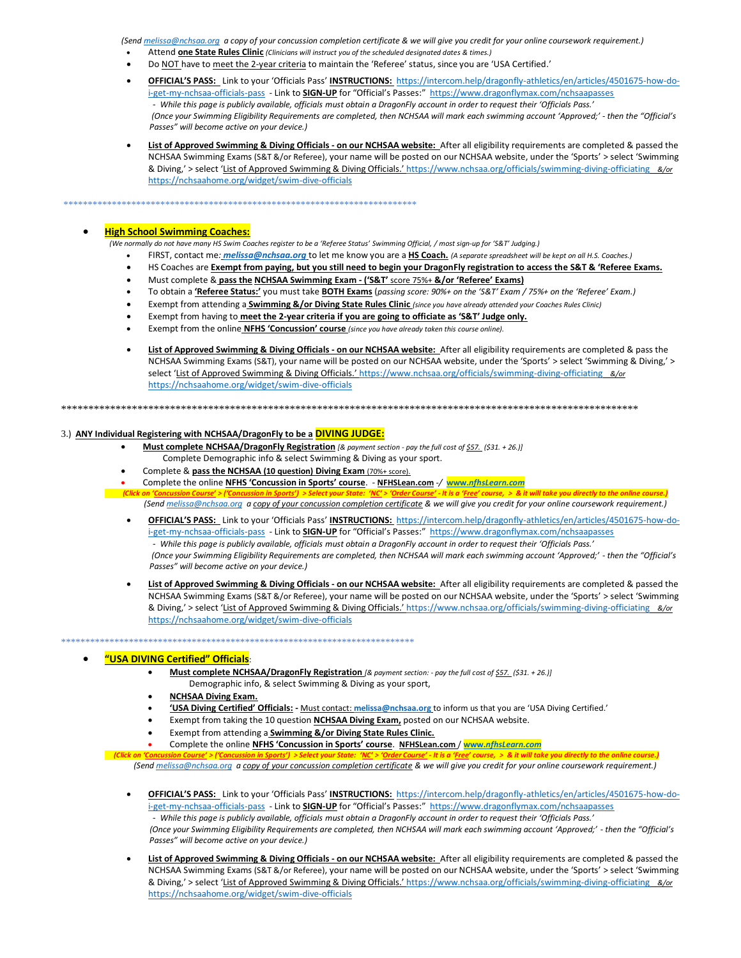*(Sen[d melissa@nchsaa.org](mailto:melissa@nchsaa.org) a copy of your concussion completion certificate & we will give you credit for your online coursework requirement.)*

- Attend **one State Rules Clinic** *(Clinicians will instruct you of the scheduled designated dates & times.)*
- Do NOT have to meet the 2-year criteria to maintain the 'Referee' status, since you are 'USA Certified.'
- **OFFICIAL'S PASS:** Link to your 'Officials Pass' **INSTRUCTIONS:** [https://intercom.help/dragonfly-athletics/en/articles/4501675-how-do](https://intercom.help/dragonfly-athletics/en/articles/4501675-how-do-i-get-my-nchsaa-officials-pass)[i-get-my-nchsaa-officials-pass](https://intercom.help/dragonfly-athletics/en/articles/4501675-how-do-i-get-my-nchsaa-officials-pass) - Link to **SIGN-UP** for "Official's Passes:" <https://www.dragonflymax.com/nchsaapasses> - *While this page is publicly available, officials must obtain a DragonFly account in order to request their 'Officials Pass.' (Once your Swimming Eligibility Requirements are completed, then NCHSAA will mark each swimming account 'Approved;' - then the "Official's Passes" will become active on your device.)*
- **List of Approved Swimming & Diving Officials - on our NCHSAA website:** After all eligibility requirements are completed & passed the NCHSAA Swimming Exams (S&T &/or Referee), your name will be posted on our NCHSAA website, under the 'Sports' > select 'Swimming & Diving,' > select 'List of Approved Swimming & Diving Officials.' <https://www.nchsaa.org/officials/swimming-diving-officiating> *&/or*  <https://nchsaahome.org/widget/swim-dive-officials>

# \*\*\*\*\*\*\*\*\*\*\*\*\*\*\*\*\*\*\*\*\*\*\*\*\*\*\*\*\*\*\*\*\*\*\*\*\*\*\*\*\*\*\*\*\*\*\*\*\*\*\*\*\*\*\*\*\*\*\*\*\*\*\*\*\*\*\*\*\*\*\*\*\*

# • **High School Swimming Coaches:**

 *(We normally do not have many HS Swim Coaches register to be a 'Referee Status' Swimming Official, / most sign-up for 'S&T' Judging.)*

- FIRST, contact me*: [melissa@nchsaa.org](mailto:melissa@nchsaa.org)* to let me know you are a **HS Coach.** *(A separate spreadsheet will be kept on all H.S. Coaches.)*
- HS Coaches are **Exempt from paying, but you still need to begin your DragonFly registration to access the S&T & 'Referee Exams.**
- Must complete & **pass the NCHSAA Swimming Exam - ('S&T'** score 75%+ **&/or 'Referee' Exams)**
- To obtain a **'Referee Status:'** you must take **BOTH Exams** (*passing score: 90%+ on the 'S&T' Exam / 75%+ on the 'Referee' Exam.)*
- Exempt from attending a **Swimming &/or Diving State Rules Clinic** *(since you have already attended your Coaches Rules Clinic)*
- Exempt from having to **meet the 2-year criteria if you are going to officiate as 'S&T' Judge only.**
- Exempt from the online **NFHS 'Concussion' course** *(since you have already taken this course online).*
- **List of Approved Swimming & Diving Officials - on our NCHSAA website:** After all eligibility requirements are completed & pass the NCHSAA Swimming Exams (S&T), your name will be posted on our NCHSAA website, under the 'Sports' > select 'Swimming & Diving,' > select 'List of Approved Swimming & Diving Officials.' <https://www.nchsaa.org/officials/swimming-diving-officiating> *&/or*  <https://nchsaahome.org/widget/swim-dive-officials>

\*\*\*\*\*\*\*\*\*\*\*\*\*\*\*\*\*\*\*\*\*\*\*\*\*\*\*\*\*\*\*\*\*\*\*\*\*\*\*\*\*\*\*\*\*\*\*\*\*\*\*\*\*\*\*\*\*\*\*\*\*\*\*\*\*\*\*\*\*\*\*\*\*\*\*\*\*\*\*\*\*\*\*\*\*\*\*\*\*\*\*\*\*\*\*\*\*\*\*\*\*\*\*\*\*\*

### 3.) **ANY Individual Registering with NCHSAA/DragonFly to be a DIVING JUDGE:**

- **Must complete NCHSAA/DragonFly Registration** *[& payment section - pay the full cost of \$57. (\$31. + 26.)]* Complete Demographic info & select Swimming & Diving as your sport.
- Complete & **pass the NCHSAA (10 question) Diving Exam** (70%+ score).

\*\*\*\*\*\*\*\*\*\*\*\*\*\*\*\*\*\*\*\*\*\*\*\*\*\*\*\*\*\*\*\*\*\*\*\*\*\*\*\*\*\*\*\*\*\*\*\*\*\*\*\*\*\*\*\*\*\*\*\*\*\*\*\*\*\*\*\*\*\*\*\*\*

• Complete the online **NFHS 'Concussion in Sports' course**. - **NFHSLean.com** *-/* **www.***[nfhsLearn.com](http://www.nfhslearn.com/)*

(Click on 'Concussion Course' > ('Concussion in Sports') > Select your State: 'NC' > 'Order Course' - It is a 'Free' course, > & it will take you directly to the online course.

 *(Sen[d melissa@nchsaa.org](mailto:melissa@nchsaa.org) a copy of your concussion completion certificate & we will give you credit for your online coursework requirement.)*

- **OFFICIAL'S PASS:** Link to your 'Officials Pass' **INSTRUCTIONS:** [https://intercom.help/dragonfly-athletics/en/articles/4501675-how-do](https://intercom.help/dragonfly-athletics/en/articles/4501675-how-do-i-get-my-nchsaa-officials-pass)[i-get-my-nchsaa-officials-pass](https://intercom.help/dragonfly-athletics/en/articles/4501675-how-do-i-get-my-nchsaa-officials-pass) - Link to **SIGN-UP** for "Official's Passes:" <https://www.dragonflymax.com/nchsaapasses> - *While this page is publicly available, officials must obtain a DragonFly account in order to request their 'Officials Pass.' (Once your Swimming Eligibility Requirements are completed, then NCHSAA will mark each swimming account 'Approved;' - then the "Official's Passes" will become active on your device.)*
- **List of Approved Swimming & Diving Officials - on our NCHSAA website:** After all eligibility requirements are completed & passed the NCHSAA Swimming Exams (S&T &/or Referee), your name will be posted on our NCHSAA website, under the 'Sports' > select 'Swimming & Diving,' > select 'List of Approved Swimming & Diving Officials.' <https://www.nchsaa.org/officials/swimming-diving-officiating> *&/or*  <https://nchsaahome.org/widget/swim-dive-officials>

## • **"USA DIVING Certified" Officials**:

- **Must complete NCHSAA/DragonFly Registration** *[& payment section: - pay the full cost of \$57. (\$31. + 26.)]* Demographic info, & select Swimming & Diving as your sport,
- **NCHSAA Diving Exam.**
- **'USA Diving Certified' Officials: -** Must contact: **[melissa@nchsaa.org](mailto:melissa@nchsaa.org)** to inform us that you are 'USA Diving Certified.'
- Exempt from taking the 10 question **NCHSAA Diving Exam,** posted on our NCHSAA website.
- Exempt from attending a **Swimming &/or Diving State Rules Clinic.**
- Complete the online **NFHS 'Concussion in Sports' course**. **NFHSLean.com** / **www.***[nfhsLearn.com](http://www.nfhslearn.com/)*

<u>ts')</u> > Select your State: '<mark>NC'</mark> > '<mark>Order Course'</mark> - It is a '<mark>Fı</mark>

 *(Sen[d melissa@nchsaa.org](mailto:melissa@nchsaa.org) a copy of your concussion completion certificate & we will give you credit for your online coursework requirement.)*

- **OFFICIAL'S PASS:** Link to your 'Officials Pass' **INSTRUCTIONS:** [https://intercom.help/dragonfly-athletics/en/articles/4501675-how-do](https://intercom.help/dragonfly-athletics/en/articles/4501675-how-do-i-get-my-nchsaa-officials-pass)[i-get-my-nchsaa-officials-pass](https://intercom.help/dragonfly-athletics/en/articles/4501675-how-do-i-get-my-nchsaa-officials-pass) - Link to **SIGN-UP** for "Official's Passes:" <https://www.dragonflymax.com/nchsaapasses> - *While this page is publicly available, officials must obtain a DragonFly account in order to request their 'Officials Pass.' (Once your Swimming Eligibility Requirements are completed, then NCHSAA will mark each swimming account 'Approved;' - then the "Official's Passes" will become active on your device.)*
- **List of Approved Swimming & Diving Officials - on our NCHSAA website:** After all eligibility requirements are completed & passed the NCHSAA Swimming Exams (S&T &/or Referee), your name will be posted on our NCHSAA website, under the 'Sports' > select 'Swimming & Diving,' > select 'List of Approved Swimming & Diving Officials.' <https://www.nchsaa.org/officials/swimming-diving-officiating> *&/or*  <https://nchsaahome.org/widget/swim-dive-officials>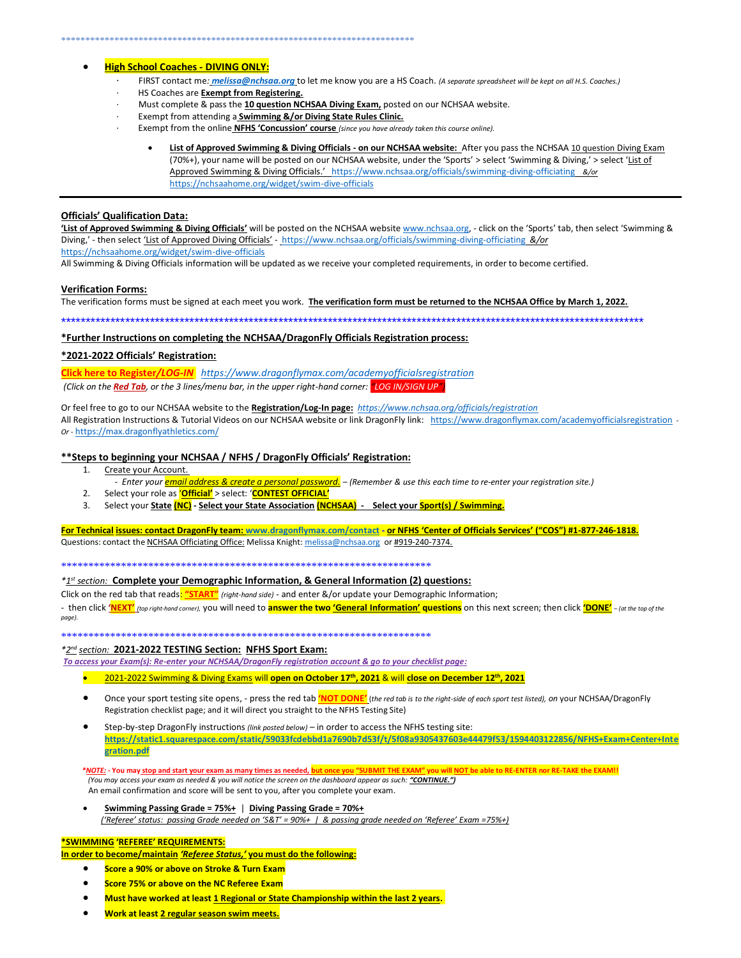#### \*\*\*\*\*\*\*\*\*\*\*\*\*\*\*\*\*\*\*\*\*\*\*\*\*\*\*\*\*\*\*\*\*\*\*\*\*\*\*\*\*\*\*\*\*\*\*\*\*\*\*\*\*\*\*\*\*\*\*\*\*\*\*\*\*\*\*\*\*\*\*\*\*

# • **High School Coaches - DIVING ONLY:**

- · FIRST contact me*: [melissa@nchsaa.org](mailto:melissa@nchsaa.org)* to let me know you are a HS Coach. *(A separate spreadsheet will be kept on all H.S. Coaches.)*
- · HS Coaches are **Exempt from Registering.**
- Must complete & pass the 10 question NCHSAA Diving Exam, posted on our NCHSAA website.
- · Exempt from attending a **Swimming &/or Diving State Rules Clinic.**
- · Exempt from the online **NFHS 'Concussion' course** *(since you have already taken this course online).*
	- **List of Approved Swimming & Diving Officials - on our NCHSAA website:** After you pass the NCHSAA 10 question Diving Exam (70%+), your name will be posted on our NCHSAA website, under the 'Sports' > select 'Swimming & Diving,' > select 'List of Approved Swimming & Diving Officials.' <https://www.nchsaa.org/officials/swimming-diving-officiating> *&/or*  <https://nchsaahome.org/widget/swim-dive-officials>

#### **Officials' Qualification Data:**

**'List of Approved Swimming & Diving Officials'** will be posted on the NCHSAA websit[e www.nchsaa.org,](http://www.nchsaa.org/) - click on the 'Sports' tab, then select 'Swimming & Diving,' - then select 'List of Approved Diving Officials' - <https://www.nchsaa.org/officials/swimming-diving-officiating> *&/or*  <https://nchsaahome.org/widget/swim-dive-officials>

All Swimming & Diving Officials information will be updated as we receive your completed requirements, in order to become certified.

#### **Verification Forms:**

The verification forms must be signed at each meet you work. **The verification form must be returned to the NCHSAA Office by March 1, 2022.**

\*\*\*\*\*\*\*\*\*\*\*\*\*\*\*\*\*\*\*\*\*\*\*\*\*\*\*\*\*\*\*\*\*\*\*\*\*\*\*\*\*\*\*\*\*\*\*\*\*\*\*\*\*\*\*\*\*\*\*\*\*\*\*\*\*\*\*\*\*\*\*\*\*\*\*\*\*\*\*\*\*\*\*\*\*\*\*\*\*\*\*\*\*\*\*\*\*\*\*\*\*\*\*\*\*\*\*\*\*\*\*\*\*\*\*\*\*\*

**\*Further Instructions on completing the NCHSAA/DragonFly Officials Registration process:**

# **\*2021-2022 Officials' Registration:**

**[Click here to Register](https://www.dragonflymax.com/academyofficialsregistration)***/LOG-IN<https://www.dragonflymax.com/academyofficialsregistration>*

*(Click on the Red Tab, or the 3 lines/menu bar, in the upper right-hand corner: "LOG IN/SIGN UP")*

Or feel free to go to our NCHSAA website to the **Registration/Log-In page:***<https://www.nchsaa.org/officials/registration>* All Registration Instructions & Tutorial Videos on our NCHSAA website or link DragonFly link: <https://www.dragonflymax.com/academyofficialsregistration> -*Or -* <https://max.dragonflyathletics.com/>

# **\*\*Steps to beginning your NCHSAA / NFHS / DragonFly Officials' Registration:**

- 1. Create your Account.
- *Enter your email address & create a personal password. – (Remember & use this each time to re-enter your registration site.)*
- 2. Select your role as '**Official'** > select: '**CONTEST OFFICIAL'**
- 3. Select your **State (NC) - Select your State Association (NCHSAA) Select your Sport(s) / Swimming.**

**For Technical issues: contact DragonFly team: [www.dragonflymax.com/contact](http://www.dragonflymax.com/contact) - or NFHS 'Center of Officials Services' ("COS") #1-877-246-1818.** Questions: contact the NCHSAA Officiating Office: Melissa Knight: [melissa@nchsaa.org](mailto:melissa@nchsaa.org) or #919-240-7374.

\*\*\*\*\*\*\*\*\*\*\*\*\*\*\*\*\*\*\*\*\*\*\*\*\*\*\*\*\*\*\*\*\*\*\*\*\*\*\*\*\*\*\*\*\*\*\*\*\*\*\*\*\*\*\*\*\*\*\*\*\*\*\*\*\*\*\*\*

*\*1 st section:* **Complete your Demographic Information, & General Information (2) questions:**

Click on the red tab that reads: **"START"** *(right-hand side)* - and enter &/or update your Demographic Information;

- then click 'NEXT' (top right-hand corner), you will need to answer the two 'General Information' questions on this next screen; then click 'DONE' - (at the top of the *page).*

\*\*\*\*\*\*\*\*\*\*\*\*\*\*\*\*\*\*\*\*\*\*\*\*\*\*\*\*\*\*\*\*\*\*\*\*\*\*\*\*\*\*\*\*\*\*\*\*\*\*\*\*\*\*\*\*\*\*\*\*\*\*\*\*\*\*\*\*

#### *\*2 nd section:* **2021-2022 TESTING Section: NFHS Sport Exam:**

*To access your Exam(s): Re-enter your NCHSAA/DragonFly registration account & go to your checklist page:*

- 2021-2022 Swimming & Diving Exams will **open on October 17th , 2021** & will **close on December 12th, 2021**
- Once your sport testing site opens, press the red tab **'NOT DONE'** (*the red tab is to the right-side of each sport test listed), on* your NCHSAA/DragonFly Registration checklist page; and it will direct you straight to the NFHS Testing Site)
- Step-by-step DragonFly instructions *(link posted below)* in order to access the NFHS testing site: **[https://static1.squarespace.com/static/59033fcdebbd1a7690b7d53f/t/5f08a9305437603e44479f53/1594403122856/NFHS+Exam+Center+Inte](https://static1.squarespace.com/static/59033fcdebbd1a7690b7d53f/t/5f08a9305437603e44479f53/1594403122856/NFHS+Exam+Center+Integration.pdf) [gration.pdf](https://static1.squarespace.com/static/59033fcdebbd1a7690b7d53f/t/5f08a9305437603e44479f53/1594403122856/NFHS+Exam+Center+Integration.pdf)**

 *\*NOTE:* **- You may stop and start your exam as many times as needed, but once you "SUBMIT THE EXAM" you will NOT be able to RE-ENTER nor RE-TAKE the EXAM!!**   *(You may access your exam as needed & you will notice the screen on the dashboard appear as such: "CONTINUE.")*  An email confirmation and score will be sent to you, after you complete your exam*.*

• **Swimming Passing Grade = 75%+** | **Diving Passing Grade = 70%+**  *('Referee' status: passing Grade needed on 'S&T' = 90%+ | & passing grade needed on 'Referee' Exam =75%+)*

### **\*SWIMMING 'REFEREE' REQUIREMENTS:**

**In order to become/maintain** *'Referee Status,'* **you must do the following:**

- **Score a 90% or above on Stroke & Turn Exam**
- **Score 75% or above on the NC Referee Exam**
- **Must have worked at least 1 Regional or State Championship within the last 2 years.**
- **Work at least 2 regular season swim meets.**